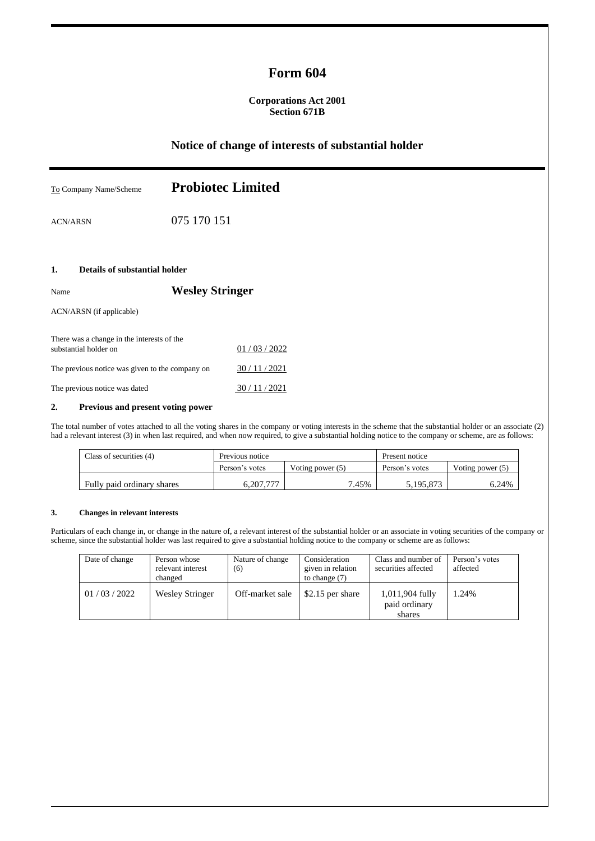# **Form 604**

### **Corporations Act 2001 Section 671B**

# **Notice of change of interests of substantial holder**

| To Company Name/Scheme                                                                | <b>Probiotec Limited</b> |  |  |
|---------------------------------------------------------------------------------------|--------------------------|--|--|
| <b>ACN/ARSN</b>                                                                       | 075 170 151              |  |  |
| Details of substantial holder<br>1.                                                   |                          |  |  |
| Name                                                                                  | <b>Wesley Stringer</b>   |  |  |
| ACN/ARSN (if applicable)                                                              |                          |  |  |
| There was a change in the interests of the<br>01 / 03 / 2022<br>substantial holder on |                          |  |  |
| The previous notice was given to the company on                                       | 30/11/2021               |  |  |
| The previous notice was dated                                                         | 30/11/2021               |  |  |

### **2. Previous and present voting power**

The total number of votes attached to all the voting shares in the company or voting interests in the scheme that the substantial holder or an associate (2) had a relevant interest (3) in when last required, and when now required, to give a substantial holding notice to the company or scheme, are as follows:

| Class of securities (4)    | Previous notice |                  | Present notice |                    |
|----------------------------|-----------------|------------------|----------------|--------------------|
|                            | Person's votes  | Voting power (5) | Person's votes | Voting power $(5)$ |
| Fully paid ordinary shares | 6.207.777       | 7.45%            | 5.195.873      | 6.24%              |

#### **3. Changes in relevant interests**

Particulars of each change in, or change in the nature of, a relevant interest of the substantial holder or an associate in voting securities of the company or scheme, since the substantial holder was last required to give a substantial holding notice to the company or scheme are as follows:

| Date of change | Person whose<br>relevant interest<br>changed | Nature of change<br>(6) | Consideration<br>given in relation<br>to change $(7)$ | Class and number of<br>securities affected | Person's votes<br>affected |
|----------------|----------------------------------------------|-------------------------|-------------------------------------------------------|--------------------------------------------|----------------------------|
| 01/03/2022     | <b>Wesley Stringer</b>                       | Off-market sale         | \$2.15 per share                                      | 1,011,904 fully<br>paid ordinary<br>shares | 1.24%                      |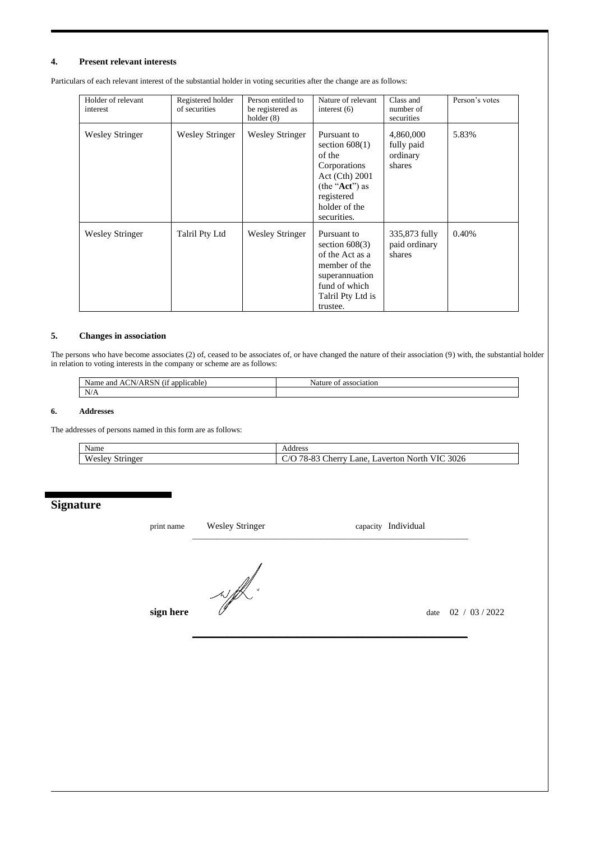#### **4. Present relevant interests**

Particulars of each relevant interest of the substantial holder in voting securities after the change are as follows:

| Holder of relevant<br>interest | Registered holder<br>of securities | Person entitled to<br>be registered as<br>holder $(8)$ | Nature of relevant<br>interest $(6)$                                                                                                            | Class and<br>number of<br>securities          | Person's votes |
|--------------------------------|------------------------------------|--------------------------------------------------------|-------------------------------------------------------------------------------------------------------------------------------------------------|-----------------------------------------------|----------------|
| <b>Wesley Stringer</b>         | <b>Wesley Stringer</b>             | <b>Wesley Stringer</b>                                 | Pursuant to<br>section $608(1)$<br>of the<br>Corporations<br>Act (Cth) 2001<br>(the " $Act$ ") as<br>registered<br>holder of the<br>securities. | 4,860,000<br>fully paid<br>ordinary<br>shares | 5.83%          |
| <b>Wesley Stringer</b>         | Talril Pty Ltd                     | <b>Wesley Stringer</b>                                 | Pursuant to<br>section $608(3)$<br>of the Act as a<br>member of the<br>superannuation<br>fund of which<br>Talril Pty Ltd is<br>trustee.         | 335,873 fully<br>paid ordinary<br>shares      | 0.40%          |

### **5. Changes in association**

The persons who have become associates (2) of, ceased to be associates of, or have changed the nature of their association (9) with, the substantial holder in relation to voting interests in the company or scheme are as follows:

| $\lambda$<br>$\sim$ $\sim$ $\sim$<br>applicable<br>ano<br>ne<br>sar<br>ΑI<br>лкэг<br>. . | ciation<br>х<br>. OF<br>-чаш. |
|------------------------------------------------------------------------------------------|-------------------------------|
| NT/<br>11/21                                                                             |                               |

#### **6. Addresses**

The addresses of persons named in this form are as follows:

| Name                                 | Address                                                                                                                               |
|--------------------------------------|---------------------------------------------------------------------------------------------------------------------------------------|
| <b>TT</b><br>-<br>Stringer<br>√eslev | $\sim$<br>3026<br>$\neg$<br>$\Omega$<br>$\bigcap$<br>$\sim$<br>ane<br>VIU.<br>:herry<br>Jorth<br>averto<br>$(0 - 7)$<br>u<br>╰<br>-റം |

## **Signature**

| print name | <b>Wesley Stringer</b> | capacity Individual    |
|------------|------------------------|------------------------|
|            | $\checkmark$           |                        |
| sign here  |                        | 02 / 03 / 2022<br>date |

\_\_\_\_\_\_\_\_\_\_\_\_\_\_\_\_\_\_\_\_\_\_\_\_\_\_\_\_\_\_\_\_\_\_\_\_\_\_\_\_\_\_\_\_\_\_\_\_\_\_\_\_\_\_\_